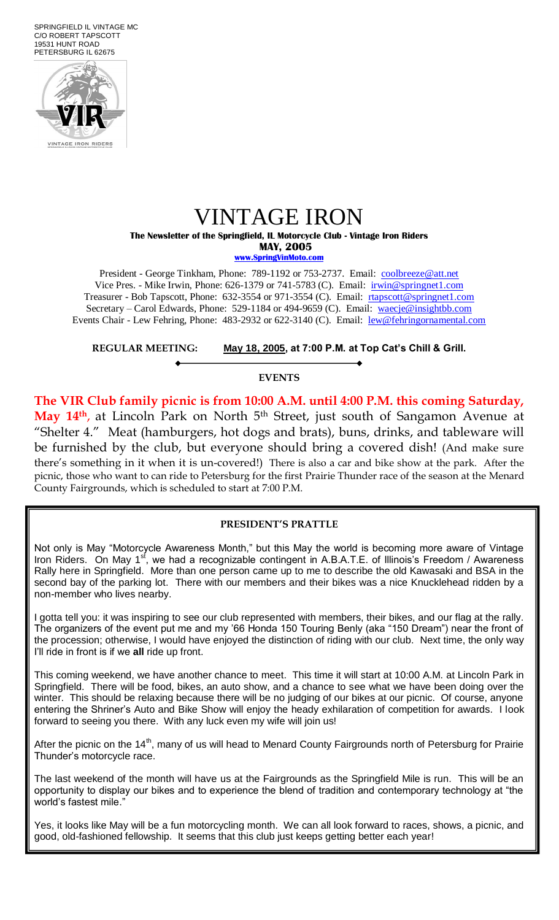SPRINGFIELD IL VINTAGE MC C/O ROBERT TAPSCOTT 19531 HUNT ROAD PETERSBURG IL 62675



# VINTAGE IRON

**The Newsletter of the Springfield, IL Motorcycle Club - Vintage Iron Riders MAY, 2005**

**[www.SpringVinMoto.com](http://www.springvinmoto.com/)**

President - George Tinkham, Phone: 789-1192 or 753-2737. Email: [coolbreeze@att.net](mailto:coolbreeze@att.net) Vice Pres. - Mike Irwin, Phone: 626-1379 or 741-5783 (C). Email: irwin@springnet1.com Treasurer - Bob Tapscott, Phone: 632-3554 or 971-3554 (C). Email: [rtapscott@springnet1.com](mailto:rtapscott@springnet1.com) Secretary – Carol Edwards, Phone: 529-1184 or 494-9659 (C). Email: waecje@insightbb.com Events Chair - Lew Fehring, Phone: 483-2932 or 622-3140 (C). Email: lew@fehringornamental.com

**REGULAR MEETING: May 18, 2005, at 7:00 P.M. at Top Cat's Chill & Grill.**

#### **EVENTS**

**The VIR Club family picnic is from 10:00 A.M. until 4:00 P.M. this coming Saturday,**  May 14<sup>th</sup>, at Lincoln Park on North 5<sup>th</sup> Street, just south of Sangamon Avenue at "Shelter 4." Meat (hamburgers, hot dogs and brats), buns, drinks, and tableware will be furnished by the club, but everyone should bring a covered dish! (And make sure there's something in it when it is un-covered!) There is also a car and bike show at the park. After the picnic, those who want to can ride to Petersburg for the first Prairie Thunder race of the season at the Menard County Fairgrounds, which is scheduled to start at 7:00 P.M.

## **PRESIDENT'S PRATTLE**

Not only is May "Motorcycle Awareness Month," but this May the world is becoming more aware of Vintage Iron Riders. On May 1<sup>st</sup>, we had a recognizable contingent in A.B.A.T.E. of Illinois's Freedom / Awareness Rally here in Springfield. More than one person came up to me to describe the old Kawasaki and BSA in the second bay of the parking lot. There with our members and their bikes was a nice Knucklehead ridden by a non-member who lives nearby.

I gotta tell you: it was inspiring to see our club represented with members, their bikes, and our flag at the rally. The organizers of the event put me and my '66 Honda 150 Touring Benly (aka "150 Dream") near the front of the procession; otherwise, I would have enjoyed the distinction of riding with our club. Next time, the only way I'll ride in front is if we **all** ride up front.

This coming weekend, we have another chance to meet. This time it will start at 10:00 A.M. at Lincoln Park in Springfield. There will be food, bikes, an auto show, and a chance to see what we have been doing over the winter. This should be relaxing because there will be no judging of our bikes at our picnic. Of course, anyone entering the Shriner's Auto and Bike Show will enjoy the heady exhilaration of competition for awards. I look forward to seeing you there. With any luck even my wife will join us!

After the picnic on the 14<sup>th</sup>, many of us will head to Menard County Fairgrounds north of Petersburg for Prairie Thunder's motorcycle race.

The last weekend of the month will have us at the Fairgrounds as the Springfield Mile is run. This will be an opportunity to display our bikes and to experience the blend of tradition and contemporary technology at "the world's fastest mile.'

Yes, it looks like May will be a fun motorcycling month. We can all look forward to races, shows, a picnic, and good, old-fashioned fellowship. It seems that this club just keeps getting better each year!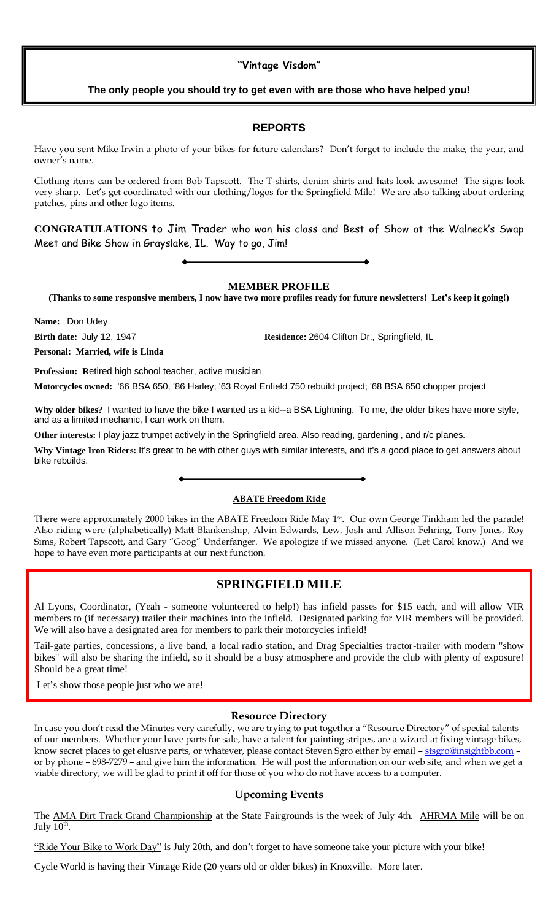## **"Vintage Visdom"**

## **The only people you should try to get even with are those who have helped you!**

## **REPORTS**

Have you sent Mike Irwin a photo of your bikes for future calendars? Don't forget to include the make, the year, and owner's name.

Clothing items can be ordered from Bob Tapscott. The T-shirts, denim shirts and hats look awesome! The signs look very sharp. Let's get coordinated with our clothing/logos for the Springfield Mile! We are also talking about ordering patches, pins and other logo items.

**CONGRATULATIONS** to Jim Trader who won his class and Best of Show at the Walneck's Swap Meet and Bike Show in Grayslake, IL. Way to go, Jim!

## **MEMBER PROFILE**

**(Thanks to some responsive members, I now have two more profiles ready for future newsletters! Let's keep it going!)**

**Name:** Don Udey

**Birth date: July 12, 1947 <b>Residence: 2604 Clifton Dr., Springfield, IL** 

**Personal: Married, wife is Linda**

**Profession: R**etired high school teacher, active musician

**Motorcycles owned:** '66 BSA 650, '86 Harley; '63 Royal Enfield 750 rebuild project; '68 BSA 650 chopper project

**Why older bikes?** I wanted to have the bike I wanted as a kid--a BSA Lightning. To me, the older bikes have more style, and as a limited mechanic, I can work on them.

**Other interests:** I play jazz trumpet actively in the Springfield area. Also reading, gardening , and r/c planes.

**Why Vintage Iron Riders:** It's great to be with other guys with similar interests, and it's a good place to get answers about bike rebuilds.

#### **ABATE Freedom Ride**

There were approximately 2000 bikes in the ABATE Freedom Ride May 1<sup>st</sup>. Our own George Tinkham led the parade! Also riding were (alphabetically) Matt Blankenship, Alvin Edwards, Lew, Josh and Allison Fehring, Tony Jones, Roy Sims, Robert Tapscott, and Gary "Goog" Underfanger. We apologize if we missed anyone. (Let Carol know.) And we hope to have even more participants at our next function.

## **SPRINGFIELD MILE**

Al Lyons, Coordinator, (Yeah - someone volunteered to help!) has infield passes for \$15 each, and will allow VIR members to (if necessary) trailer their machines into the infield. Designated parking for VIR members will be provided. We will also have a designated area for members to park their motorcycles infield!

Tail-gate parties, concessions, a live band, a local radio station, and Drag Specialties tractor-trailer with modern "show bikes" will also be sharing the infield, so it should be a busy atmosphere and provide the club with plenty of exposure! Should be a great time!

Let's show those people just who we are!

#### **Resource Directory**

In case you don't read the Minutes very carefully, we are trying to put together a "Resource Directory" of special talents of our members. Whether your have parts for sale, have a talent for painting stripes, are a wizard at fixing vintage bikes, know secret places to get elusive parts, or whatever, please contact Steven Sgro either by email - [stsgro@insightbb.com](mailto:stsgro@insightbb.com) or by phone – 698-7279 – and give him the information. He will post the information on our web site, and when we get a viable directory, we will be glad to print it off for those of you who do not have access to a computer.

## **Upcoming Events**

The AMA Dirt Track Grand Championship at the State Fairgrounds is the week of July 4th. AHRMA Mile will be on July  $\overline{10^{th}}$ .

"Ride Your Bike to Work Day" is July 20th, and don't forget to have someone take your picture with your bike!

Cycle World is having their Vintage Ride (20 years old or older bikes) in Knoxville. More later.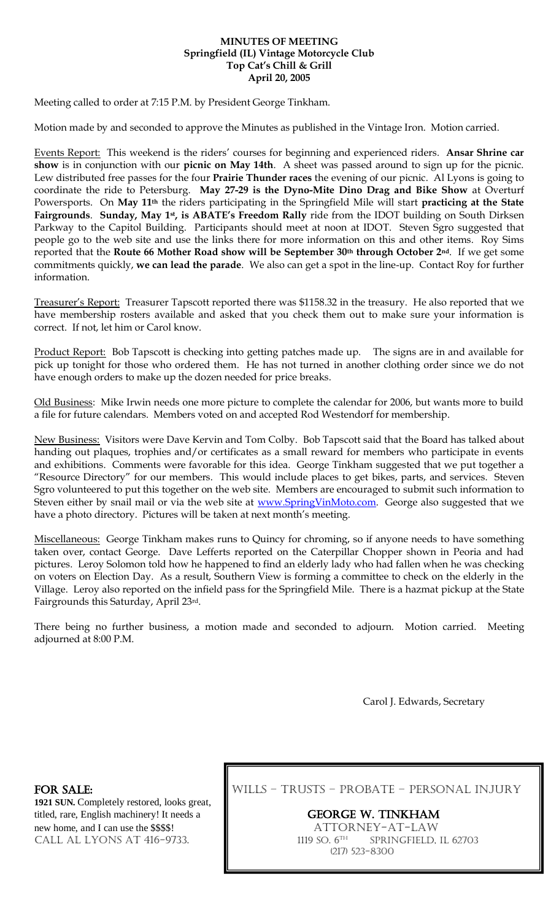### **MINUTES OF MEETING Springfield (IL) Vintage Motorcycle Club Top Cat's Chill & Grill April 20, 2005**

Meeting called to order at 7:15 P.M. by President George Tinkham.

Motion made by and seconded to approve the Minutes as published in the Vintage Iron. Motion carried.

Events Report: This weekend is the riders' courses for beginning and experienced riders. **Ansar Shrine car show** is in conjunction with our **picnic on May 14th**. A sheet was passed around to sign up for the picnic. Lew distributed free passes for the four **Prairie Thunder races** the evening of our picnic. Al Lyons is going to coordinate the ride to Petersburg. **May 27-29 is the Dyno-Mite Dino Drag and Bike Show** at Overturf Powersports. On **May 11th** the riders participating in the Springfield Mile will start **practicing at the State Fairgrounds**. **Sunday, May 1st , is ABATE's Freedom Rally** ride from the IDOT building on South Dirksen Parkway to the Capitol Building. Participants should meet at noon at IDOT. Steven Sgro suggested that people go to the web site and use the links there for more information on this and other items. Roy Sims reported that the **Route 66 Mother Road show will be September 30th through October 2nd**. If we get some commitments quickly, **we can lead the parade**. We also can get a spot in the line-up. Contact Roy for further information.

Treasurer's Report: Treasurer Tapscott reported there was \$1158.32 in the treasury. He also reported that we have membership rosters available and asked that you check them out to make sure your information is correct. If not, let him or Carol know.

Product Report: Bob Tapscott is checking into getting patches made up. The signs are in and available for pick up tonight for those who ordered them. He has not turned in another clothing order since we do not have enough orders to make up the dozen needed for price breaks.

Old Business: Mike Irwin needs one more picture to complete the calendar for 2006, but wants more to build a file for future calendars. Members voted on and accepted Rod Westendorf for membership.

New Business: Visitors were Dave Kervin and Tom Colby. Bob Tapscott said that the Board has talked about handing out plaques, trophies and/or certificates as a small reward for members who participate in events and exhibitions. Comments were favorable for this idea. George Tinkham suggested that we put together a "Resource Directory" for our members. This would include places to get bikes, parts, and services. Steven Sgro volunteered to put this together on the web site. Members are encouraged to submit such information to Steven either by snail mail or via the web site at [www.SpringVinMoto.com.](http://www.springvinmoto.com/) George also suggested that we have a photo directory. Pictures will be taken at next month's meeting.

Miscellaneous: George Tinkham makes runs to Quincy for chroming, so if anyone needs to have something taken over, contact George. Dave Lefferts reported on the Caterpillar Chopper shown in Peoria and had pictures. Leroy Solomon told how he happened to find an elderly lady who had fallen when he was checking on voters on Election Day. As a result, Southern View is forming a committee to check on the elderly in the Village. Leroy also reported on the infield pass for the Springfield Mile. There is a hazmat pickup at the State Fairgrounds this Saturday, April 23rd.

There being no further business, a motion made and seconded to adjourn. Motion carried. Meeting adjourned at 8:00 P.M.

Carol J. Edwards, Secretary

**1921 SUN.** Completely restored, looks great, titled, rare, English machinery! It needs a GEORGE W. TINKHAM new home, and I can use the \$\$\$\$! CALL AL LYONS AT 416-9733.  $\blacksquare$  1119 So. 6<sup>TH</sup>

FOR SALE: WILLS – TRUSTS – PROBATE – PERSONAL INJURY

SPRINGFIELD, IL 62703 (217) 523-8300